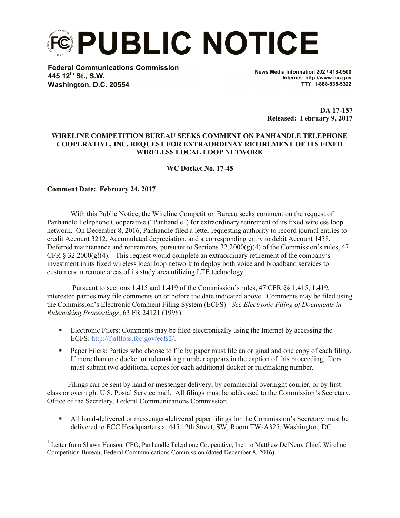**PUBLIC NOTICE**

**Federal Communications Commission 445 12th St., S.W. Washington, D.C. 20554**

**News Media Information 202 / 418-0500 Internet: http://www.fcc.gov TTY: 1-888-835-5322**

> **DA 17-157 Released: February 9, 2017**

## **WIRELINE COMPETITION BUREAU SEEKS COMMENT ON PANHANDLE TELEPHONE COOPERATIVE, INC. REQUEST FOR EXTRAORDINAY RETIREMENT OF ITS FIXED WIRELESS LOCAL LOOP NETWORK**

**WC Docket No. 17-45**

## **Comment Date: February 24, 2017**

 $\overline{\phantom{a}}$ 

With this Public Notice, the Wireline Competition Bureau seeks comment on the request of Panhandle Telephone Cooperative ("Panhandle") for extraordinary retirement of its fixed wireless loop network. On December 8, 2016, Panhandle filed a letter requesting authority to record journal entries to credit Account 3212, Accumulated depreciation, and a corresponding entry to debit Account 1438, Deferred maintenance and retirements, pursuant to Sections  $32.2000(g)(4)$  of the Commission's rules, 47 CFR § 32.2000(g)(4).<sup>1</sup> This request would complete an extraordinary retirement of the company's investment in its fixed wireless local loop network to deploy both voice and broadband services to customers in remote areas of its study area utilizing LTE technology.

Pursuant to sections 1.415 and 1.419 of the Commission's rules, 47 CFR §§ 1.415, 1.419, interested parties may file comments on or before the date indicated above. Comments may be filed using the Commission's Electronic Comment Filing System (ECFS). *See Electronic Filing of Documents in Rulemaking Proceedings*, 63 FR 24121 (1998).

- Electronic Filers: Comments may be filed electronically using the Internet by accessing the ECFS: http://fjallfoss.fcc.gov/ecfs2/.
- Paper Filers: Parties who choose to file by paper must file an original and one copy of each filing. If more than one docket or rulemaking number appears in the caption of this proceeding, filers must submit two additional copies for each additional docket or rulemaking number.

 Filings can be sent by hand or messenger delivery, by commercial overnight courier, or by firstclass or overnight U.S. Postal Service mail. All filings must be addressed to the Commission's Secretary, Office of the Secretary, Federal Communications Commission.

 All hand-delivered or messenger-delivered paper filings for the Commission's Secretary must be delivered to FCC Headquarters at 445 12th Street, SW, Room TW-A325, Washington, DC

<sup>&</sup>lt;sup>1</sup> Letter from Shawn Hanson, CEO, Panhandle Telephone Cooperative, Inc., to Matthew DelNero, Chief, Wireline Competition Bureau, Federal Communications Commission (dated December 8, 2016).